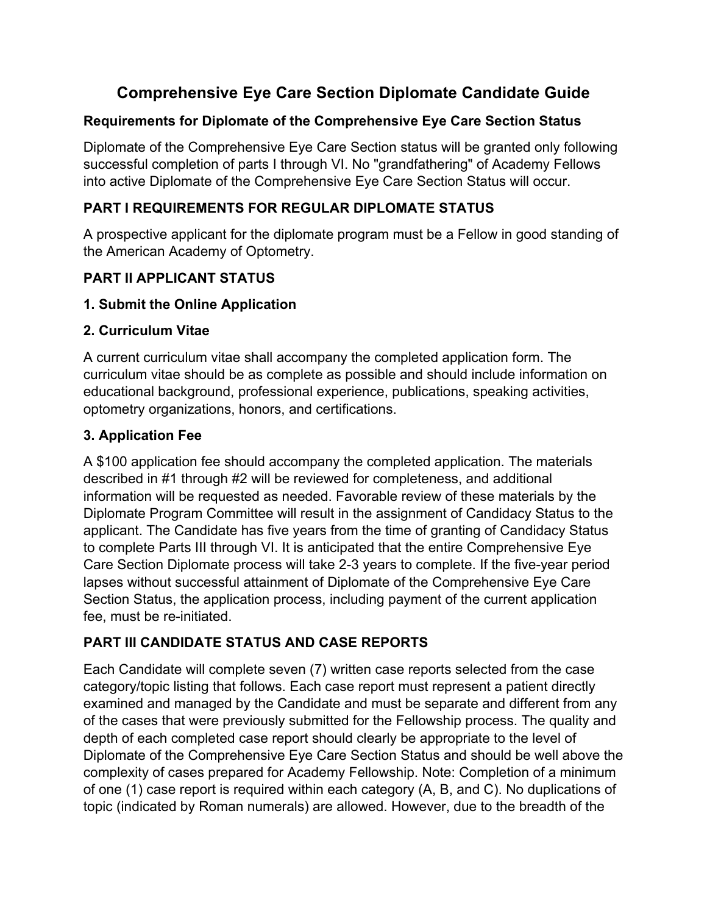# **Comprehensive Eye Care Section Diplomate Candidate Guide**

### **Requirements for Diplomate of the Comprehensive Eye Care Section Status**

Diplomate of the Comprehensive Eye Care Section status will be granted only following successful completion of parts I through VI. No "grandfathering" of Academy Fellows into active Diplomate of the Comprehensive Eye Care Section Status will occur.

### **PART I REQUIREMENTS FOR REGULAR DIPLOMATE STATUS**

A prospective applicant for the diplomate program must be a Fellow in good standing of the American Academy of Optometry.

### **PART II APPLICANT STATUS**

#### **1. Submit the Online Application**

#### **2. Curriculum Vitae**

A current curriculum vitae shall accompany the completed application form. The curriculum vitae should be as complete as possible and should include information on educational background, professional experience, publications, speaking activities, optometry organizations, honors, and certifications.

#### **3. Application Fee**

A \$100 application fee should accompany the completed application. The materials described in #1 through #2 will be reviewed for completeness, and additional information will be requested as needed. Favorable review of these materials by the Diplomate Program Committee will result in the assignment of Candidacy Status to the applicant. The Candidate has five years from the time of granting of Candidacy Status to complete Parts III through VI. It is anticipated that the entire Comprehensive Eye Care Section Diplomate process will take 2-3 years to complete. If the five-year period lapses without successful attainment of Diplomate of the Comprehensive Eye Care Section Status, the application process, including payment of the current application fee, must be re-initiated.

### **PART III CANDIDATE STATUS AND CASE REPORTS**

Each Candidate will complete seven (7) written case reports selected from the case category/topic listing that follows. Each case report must represent a patient directly examined and managed by the Candidate and must be separate and different from any of the cases that were previously submitted for the Fellowship process. The quality and depth of each completed case report should clearly be appropriate to the level of Diplomate of the Comprehensive Eye Care Section Status and should be well above the complexity of cases prepared for Academy Fellowship. Note: Completion of a minimum of one (1) case report is required within each category (A, B, and C). No duplications of topic (indicated by Roman numerals) are allowed. However, due to the breadth of the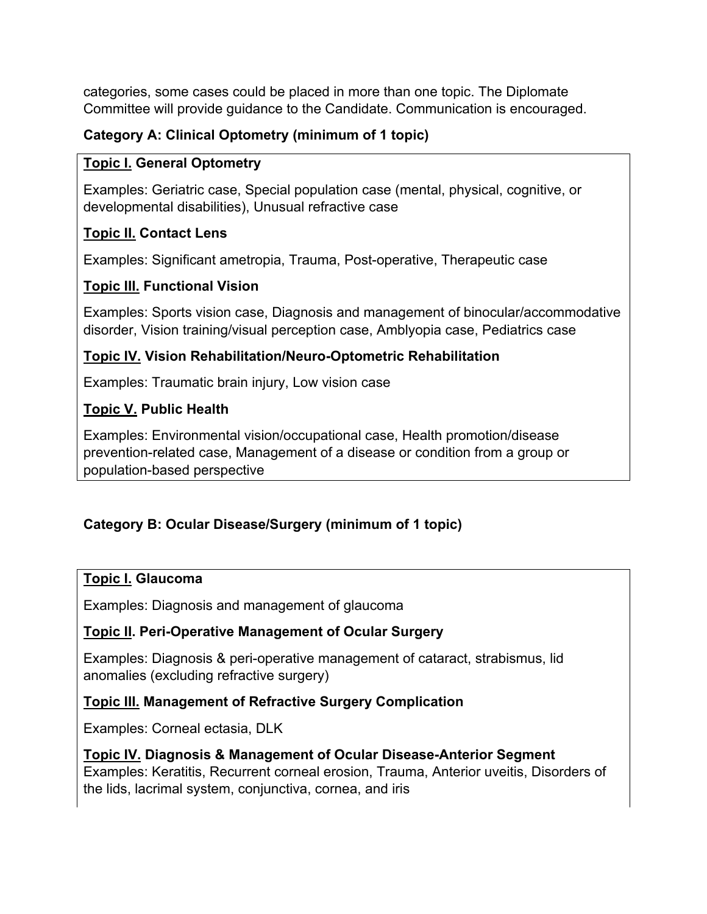categories, some cases could be placed in more than one topic. The Diplomate Committee will provide guidance to the Candidate. Communication is encouraged.

### **Category A: Clinical Optometry (minimum of 1 topic)**

#### **Topic I. General Optometry**

Examples: Geriatric case, Special population case (mental, physical, cognitive, or developmental disabilities), Unusual refractive case

#### **Topic II. Contact Lens**

Examples: Significant ametropia, Trauma, Post-operative, Therapeutic case

### **Topic III. Functional Vision**

Examples: Sports vision case, Diagnosis and management of binocular/accommodative disorder, Vision training/visual perception case, Amblyopia case, Pediatrics case

### **Topic IV. Vision Rehabilitation/Neuro-Optometric Rehabilitation**

Examples: Traumatic brain injury, Low vision case

### **Topic V. Public Health**

Examples: Environmental vision/occupational case, Health promotion/disease prevention-related case, Management of a disease or condition from a group or population-based perspective

### **Category B: Ocular Disease/Surgery (minimum of 1 topic)**

#### **Topic I. Glaucoma**

Examples: Diagnosis and management of glaucoma

#### **Topic II. Peri-Operative Management of Ocular Surgery**

Examples: Diagnosis & peri-operative management of cataract, strabismus, lid anomalies (excluding refractive surgery)

#### **Topic III. Management of Refractive Surgery Complication**

Examples: Corneal ectasia, DLK

### **Topic IV. Diagnosis & Management of Ocular Disease-Anterior Segment** Examples: Keratitis, Recurrent corneal erosion, Trauma, Anterior uveitis, Disorders of the lids, lacrimal system, conjunctiva, cornea, and iris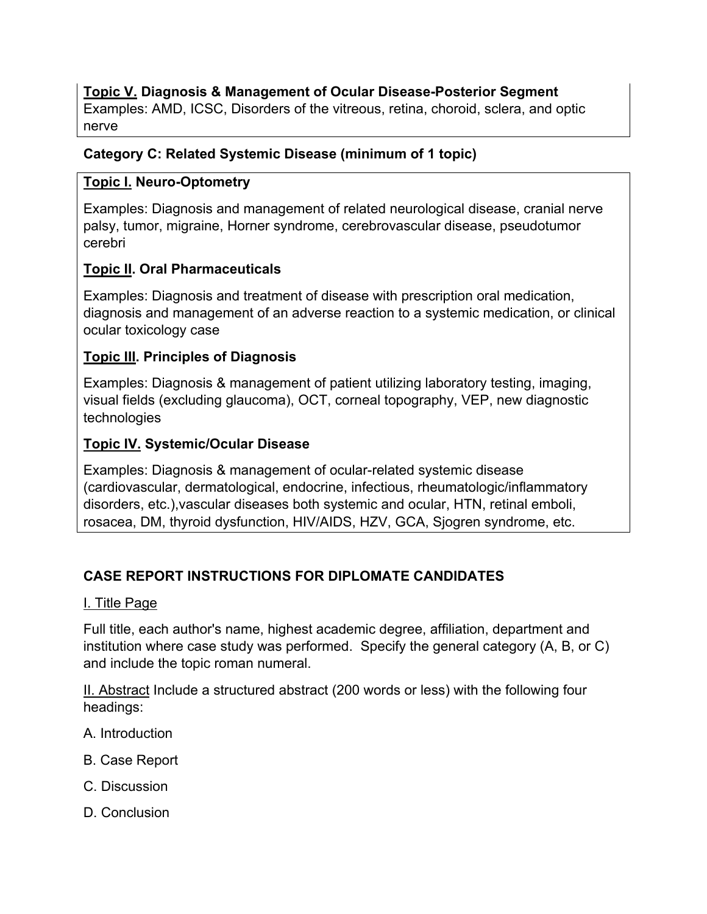#### **Topic V. Diagnosis & Management of Ocular Disease-Posterior Segment**

Examples: AMD, ICSC, Disorders of the vitreous, retina, choroid, sclera, and optic nerve

#### **Category C: Related Systemic Disease (minimum of 1 topic)**

#### **Topic I. Neuro-Optometry**

Examples: Diagnosis and management of related neurological disease, cranial nerve palsy, tumor, migraine, Horner syndrome, cerebrovascular disease, pseudotumor cerebri

### **Topic II. Oral Pharmaceuticals**

Examples: Diagnosis and treatment of disease with prescription oral medication, diagnosis and management of an adverse reaction to a systemic medication, or clinical ocular toxicology case

### **Topic III. Principles of Diagnosis**

Examples: Diagnosis & management of patient utilizing laboratory testing, imaging, visual fields (excluding glaucoma), OCT, corneal topography, VEP, new diagnostic technologies

### **Topic IV. Systemic/Ocular Disease**

Examples: Diagnosis & management of ocular-related systemic disease (cardiovascular, dermatological, endocrine, infectious, rheumatologic/inflammatory disorders, etc.),vascular diseases both systemic and ocular, HTN, retinal emboli, rosacea, DM, thyroid dysfunction, HIV/AIDS, HZV, GCA, Sjogren syndrome, etc.

### **CASE REPORT INSTRUCTIONS FOR DIPLOMATE CANDIDATES**

#### I. Title Page

Full title, each author's name, highest academic degree, affiliation, department and institution where case study was performed. Specify the general category (A, B, or C) and include the topic roman numeral.

II. Abstract Include a structured abstract (200 words or less) with the following four headings:

- A. Introduction
- B. Case Report
- C. Discussion
- D. Conclusion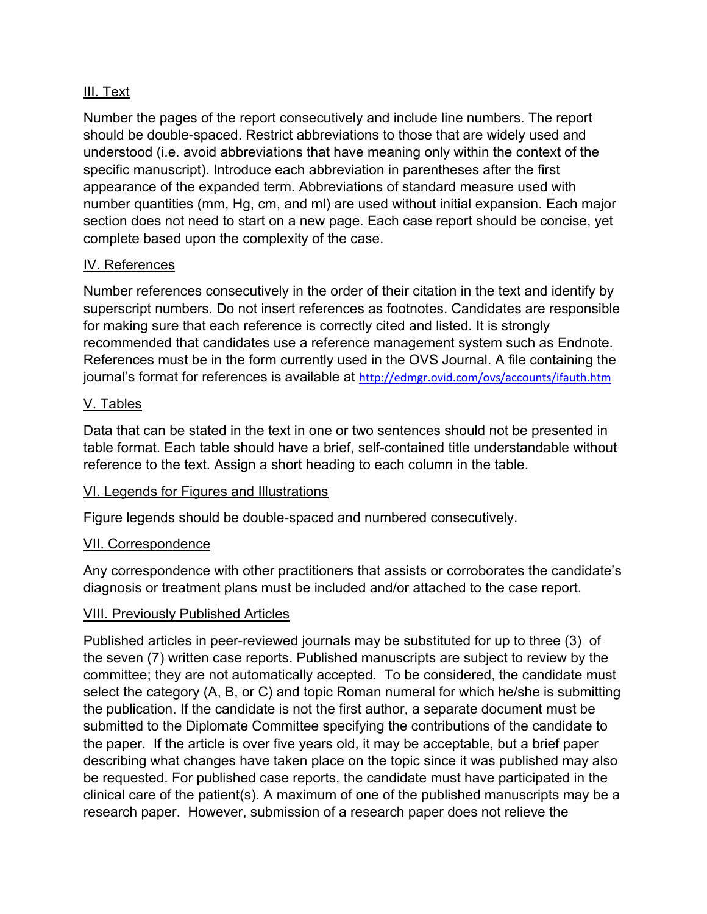#### III. Text

Number the pages of the report consecutively and include line numbers. The report should be double-spaced. Restrict abbreviations to those that are widely used and understood (i.e. avoid abbreviations that have meaning only within the context of the specific manuscript). Introduce each abbreviation in parentheses after the first appearance of the expanded term. Abbreviations of standard measure used with number quantities (mm, Hg, cm, and ml) are used without initial expansion. Each major section does not need to start on a new page. Each case report should be concise, yet complete based upon the complexity of the case.

#### IV. References

Number references consecutively in the order of their citation in the text and identify by superscript numbers. Do not insert references as footnotes. Candidates are responsible for making sure that each reference is correctly cited and listed. It is strongly recommended that candidates use a reference management system such as Endnote. References must be in the form currently used in the OVS Journal. A file containing the journal's format for references is available at http://edmgr.ovid.com/ovs/accounts/ifauth.htm

#### V. Tables

Data that can be stated in the text in one or two sentences should not be presented in table format. Each table should have a brief, self-contained title understandable without reference to the text. Assign a short heading to each column in the table.

#### VI. Legends for Figures and Illustrations

Figure legends should be double-spaced and numbered consecutively.

#### VII. Correspondence

Any correspondence with other practitioners that assists or corroborates the candidate's diagnosis or treatment plans must be included and/or attached to the case report.

#### VIII. Previously Published Articles

Published articles in peer-reviewed journals may be substituted for up to three (3) of the seven (7) written case reports. Published manuscripts are subject to review by the committee; they are not automatically accepted. To be considered, the candidate must select the category (A, B, or C) and topic Roman numeral for which he/she is submitting the publication. If the candidate is not the first author, a separate document must be submitted to the Diplomate Committee specifying the contributions of the candidate to the paper. If the article is over five years old, it may be acceptable, but a brief paper describing what changes have taken place on the topic since it was published may also be requested. For published case reports, the candidate must have participated in the clinical care of the patient(s). A maximum of one of the published manuscripts may be a research paper. However, submission of a research paper does not relieve the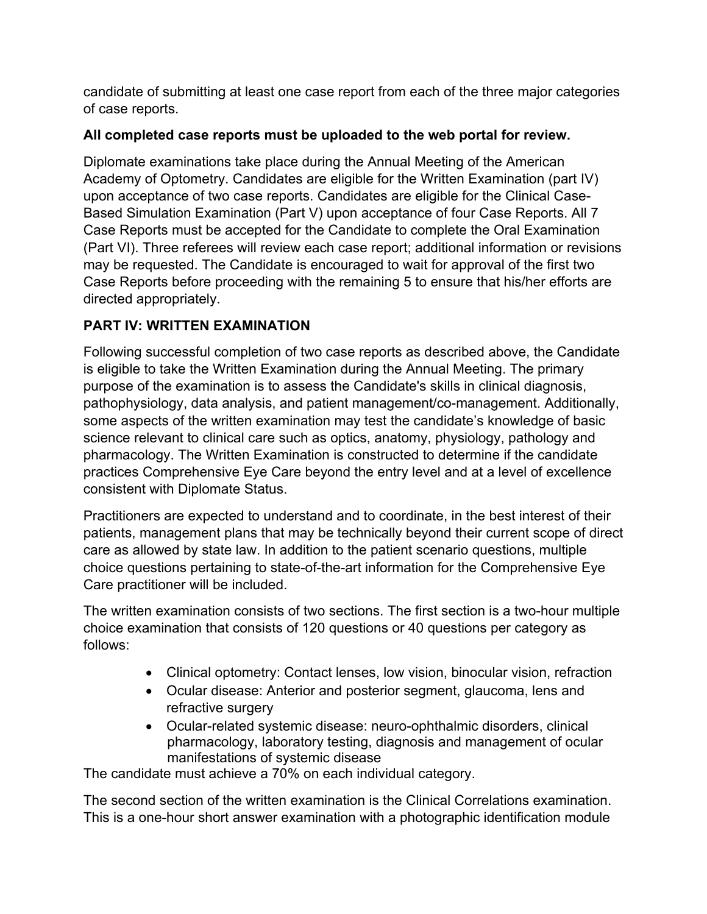candidate of submitting at least one case report from each of the three major categories of case reports.

## **All completed case reports must be uploaded to the web portal for review.**

Diplomate examinations take place during the Annual Meeting of the American Academy of Optometry. Candidates are eligible for the Written Examination (part IV) upon acceptance of two case reports. Candidates are eligible for the Clinical Case-Based Simulation Examination (Part V) upon acceptance of four Case Reports. All 7 Case Reports must be accepted for the Candidate to complete the Oral Examination (Part VI). Three referees will review each case report; additional information or revisions may be requested. The Candidate is encouraged to wait for approval of the first two Case Reports before proceeding with the remaining 5 to ensure that his/her efforts are directed appropriately.

# **PART IV: WRITTEN EXAMINATION**

Following successful completion of two case reports as described above, the Candidate is eligible to take the Written Examination during the Annual Meeting. The primary purpose of the examination is to assess the Candidate's skills in clinical diagnosis, pathophysiology, data analysis, and patient management/co-management. Additionally, some aspects of the written examination may test the candidate's knowledge of basic science relevant to clinical care such as optics, anatomy, physiology, pathology and pharmacology. The Written Examination is constructed to determine if the candidate practices Comprehensive Eye Care beyond the entry level and at a level of excellence consistent with Diplomate Status.

Practitioners are expected to understand and to coordinate, in the best interest of their patients, management plans that may be technically beyond their current scope of direct care as allowed by state law. In addition to the patient scenario questions, multiple choice questions pertaining to state-of-the-art information for the Comprehensive Eye Care practitioner will be included.

The written examination consists of two sections. The first section is a two-hour multiple choice examination that consists of 120 questions or 40 questions per category as follows:

- Clinical optometry: Contact lenses, low vision, binocular vision, refraction
- Ocular disease: Anterior and posterior segment, glaucoma, lens and refractive surgery
- Ocular-related systemic disease: neuro-ophthalmic disorders, clinical pharmacology, laboratory testing, diagnosis and management of ocular manifestations of systemic disease

The candidate must achieve a 70% on each individual category.

The second section of the written examination is the Clinical Correlations examination. This is a one-hour short answer examination with a photographic identification module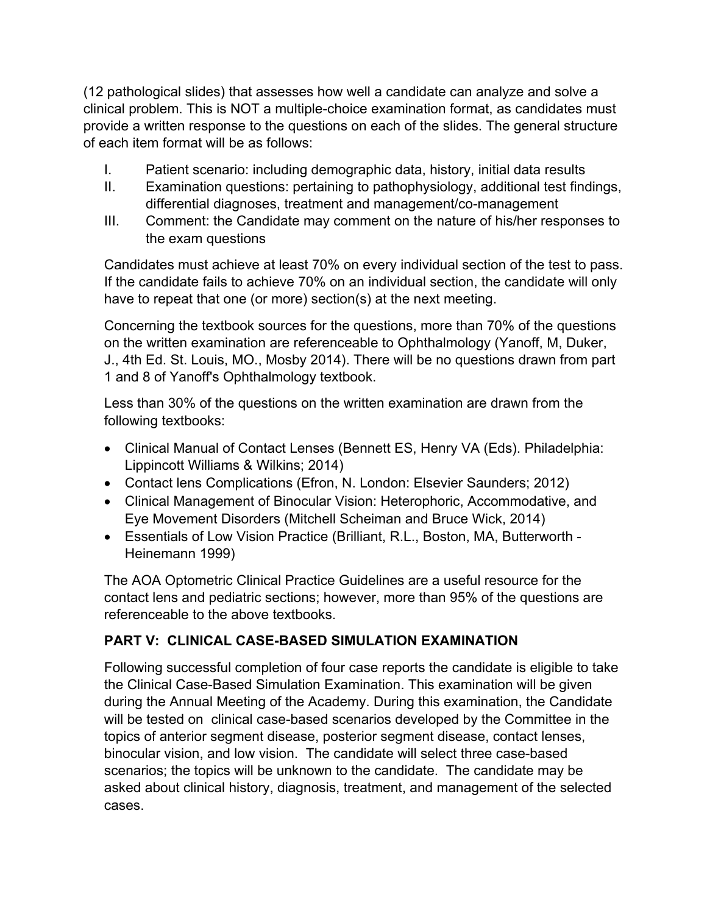(12 pathological slides) that assesses how well a candidate can analyze and solve a clinical problem. This is NOT a multiple-choice examination format, as candidates must provide a written response to the questions on each of the slides. The general structure of each item format will be as follows:

- I. Patient scenario: including demographic data, history, initial data results
- II. Examination questions: pertaining to pathophysiology, additional test findings, differential diagnoses, treatment and management/co-management
- III. Comment: the Candidate may comment on the nature of his/her responses to the exam questions

Candidates must achieve at least 70% on every individual section of the test to pass. If the candidate fails to achieve 70% on an individual section, the candidate will only have to repeat that one (or more) section(s) at the next meeting.

Concerning the textbook sources for the questions, more than 70% of the questions on the written examination are referenceable to Ophthalmology (Yanoff, M, Duker, J., 4th Ed. St. Louis, MO., Mosby 2014). There will be no questions drawn from part 1 and 8 of Yanoff's Ophthalmology textbook.

Less than 30% of the questions on the written examination are drawn from the following textbooks:

- Clinical Manual of Contact Lenses (Bennett ES, Henry VA (Eds). Philadelphia: Lippincott Williams & Wilkins; 2014)
- Contact lens Complications (Efron, N. London: Elsevier Saunders; 2012)
- Clinical Management of Binocular Vision: Heterophoric, Accommodative, and Eye Movement Disorders (Mitchell Scheiman and Bruce Wick, 2014)
- Essentials of Low Vision Practice (Brilliant, R.L., Boston, MA, Butterworth Heinemann 1999)

The AOA Optometric Clinical Practice Guidelines are a useful resource for the contact lens and pediatric sections; however, more than 95% of the questions are referenceable to the above textbooks.

### **PART V: CLINICAL CASE-BASED SIMULATION EXAMINATION**

Following successful completion of four case reports the candidate is eligible to take the Clinical Case-Based Simulation Examination. This examination will be given during the Annual Meeting of the Academy. During this examination, the Candidate will be tested on clinical case-based scenarios developed by the Committee in the topics of anterior segment disease, posterior segment disease, contact lenses, binocular vision, and low vision. The candidate will select three case-based scenarios; the topics will be unknown to the candidate. The candidate may be asked about clinical history, diagnosis, treatment, and management of the selected cases.